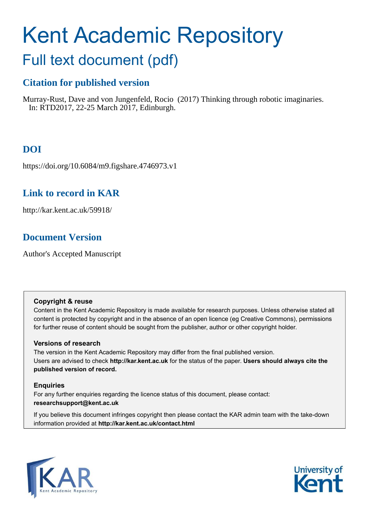## Kent Academic Repository

## Full text document (pdf)

## **Citation for published version**

Murray-Rust, Dave and von Jungenfeld, Rocio (2017) Thinking through robotic imaginaries. In: RTD2017, 22-25 March 2017, Edinburgh.

## **DOI**

https://doi.org/10.6084/m9.figshare.4746973.v1

### **Link to record in KAR**

http://kar.kent.ac.uk/59918/

## **Document Version**

Author's Accepted Manuscript

#### **Copyright & reuse**

Content in the Kent Academic Repository is made available for research purposes. Unless otherwise stated all content is protected by copyright and in the absence of an open licence (eg Creative Commons), permissions for further reuse of content should be sought from the publisher, author or other copyright holder.

#### **Versions of research**

The version in the Kent Academic Repository may differ from the final published version. Users are advised to check **http://kar.kent.ac.uk** for the status of the paper. **Users should always cite the published version of record.**

#### **Enquiries**

For any further enquiries regarding the licence status of this document, please contact: **researchsupport@kent.ac.uk**

If you believe this document infringes copyright then please contact the KAR admin team with the take-down information provided at **http://kar.kent.ac.uk/contact.html**



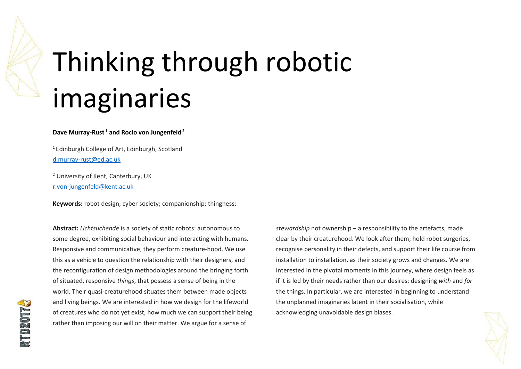# Thinking through robotic imaginaries

#### **Dave Murray-Rust<sup>1</sup> and Rocio von Jungenfeld<sup>2</sup>**

<sup>1</sup> Edinburgh College of Art, Edinburgh, Scotland [d.murray-rust@ed.ac.uk](mailto:d.murray-rust@ed.ac.uk) 

<sup>2</sup> University of Kent, Canterbury, UK [r.von-jungenfeld@kent.ac.uk](mailto:r.von-jungenfeld@kent.ac.uk) 

**Keywords:** robot design; cyber society; companionship; thingness;

**Abstract:** *Lichtsuchende* is a society of static robots: autonomous to some degree, exhibiting social behaviour and interacting with humans. Responsive and communicative, they perform creature-hood. We use this as a vehicle to question the relationship with their designers, and the reconfiguration of design methodologies around the bringing forth of situated, responsive *things*, that possess a sense of being in the world. Their quasi-creaturehood situates them between made objects and living beings. We are interested in how we design for the lifeworld of creatures who do not yet exist, how much we can support their being rather than imposing our will on their matter. We argue for a sense of

*stewardship* not ownership – a responsibility to the artefacts, made clear by their creaturehood. We look after them, hold robot surgeries, recognise personality in their defects, and support their life course from installation to installation, as their society grows and changes. We are interested in the pivotal moments in this journey, where design feels as if it is led by their needs rather than our desires: designing *with* and *for* the things. In particular, we are interested in beginning to understand the unplanned imaginaries latent in their socialisation, while acknowledging unavoidable design biases.

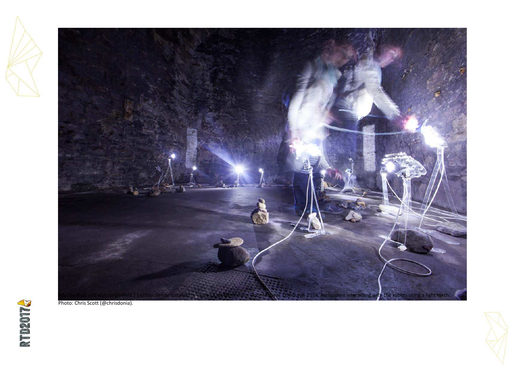



Photo: Chris Scott (@chrisdonia).



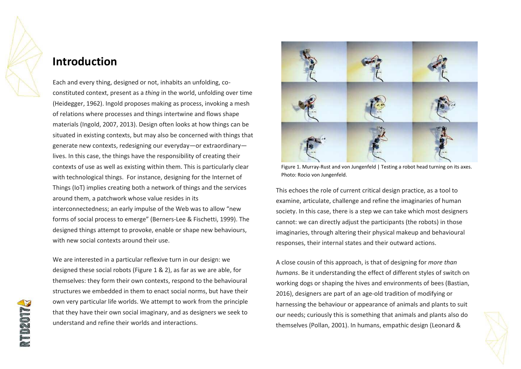

## **Introduction**

Each and every thing, designed or not, inhabits an unfolding, coconstituted context, present as a *thing* in the world, unfolding over time (Heidegger, 1962). Ingold proposes making as process, invoking a mesh of relations where processes and things intertwine and flows shape materials (Ingold, 2007, 2013). Design often looks at how things can be situated in existing contexts, but may also be concerned with things that generate new contexts, redesigning our everyday—or extraordinary lives. In this case, the things have the responsibility of creating their contexts of use as well as existing within them. This is particularly clear with technological things. For instance, designing for the Internet of Things (IoT) implies creating both a network of things and the services around them, a patchwork whose value resides in its interconnectedness; an early impulse of the Web was to allow "new forms of social process to emerge" (Berners-Lee & Fischetti, 1999). The designed things attempt to provoke, enable or shape new behaviours, with new social contexts around their use.

We are interested in a particular reflexive turn in our design: we designed these social robots (Figure 1 & 2), as far as we are able, for themselves: they form their own contexts, respond to the behavioural structures we embedded in them to enact social norms, but have their own very particular life worlds. We attempt to work from the principle that they have their own social imaginary, and as designers we seek to understand and refine their worlds and interactions.



Figure 1. Murray-Rust and von Jungenfeld | Testing a robot head turning on its axes. Photo: Rocio von Jungenfeld.

This echoes the role of current critical design practice, as a tool to examine, articulate, challenge and refine the imaginaries of human society. In this case, there is a step we can take which most designers cannot: we can directly adjust the participants (the robots) in those imaginaries, through altering their physical makeup and behavioural responses, their internal states and their outward actions.

A close cousin of this approach, is that of designing for *more than humans*. Be it understanding the effect of different styles of switch on working dogs or shaping the hives and environments of bees (Bastian, 2016), designers are part of an age-old tradition of modifying or harnessing the behaviour or appearance of animals and plants to suit our needs; curiously this is something that animals and plants also do themselves (Pollan, 2001). In humans, empathic design (Leonard &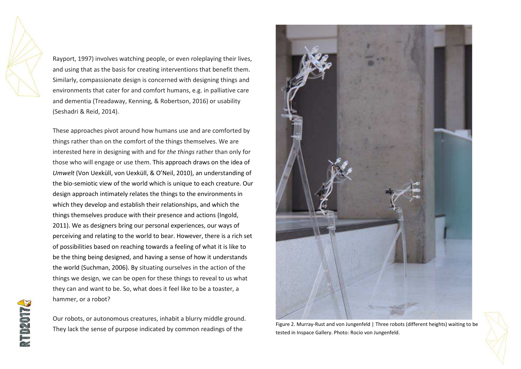Rayport, 1997) involves watching people, or even roleplaying their lives, and using that as the basis for creating interventions that benefit them. Similarly, compassionate design is concerned with designing things and environments that cater for and comfort humans, e.g. in palliative care and dementia (Treadaway, Kenning, & Robertson, 2016) or usability (Seshadri & Reid, 2014).

These approaches pivot around how humans use and are comforted by things rather than on the comfort of the things themselves. We are interested here in designing with and for *the things* rather than only for those who will engage or use them. This approach draws on the idea of *Umwelt* (Von Uexküll, von Uexküll, & O'Neil, 2010), an understanding of the bio-semiotic view of the world which is unique to each creature. Our design approach intimately relates the things to the environments in which they develop and establish their relationships, and which the things themselves produce with their presence and actions (Ingold, 2011). We as designers bring our personal experiences, our ways of perceiving and relating to the world to bear. However, there is a rich set of possibilities based on reaching towards a feeling of what it is like to be the thing being designed, and having a sense of how it understands the world (Suchman, 2006). By situating ourselves in the action of the things we design, we can be open for these things to reveal to us what they can and want to be. So, what does it feel like to be a toaster, a hammer, or a robot?

Our robots, or autonomous creatures, inhabit a blurry middle ground. They lack the sense of purpose indicated by common readings of the



Figure 2. Murray-Rust and von Jungenfeld | Three robots (different heights) waiting to be tested in Inspace Gallery. Photo: Rocio von Jungenfeld.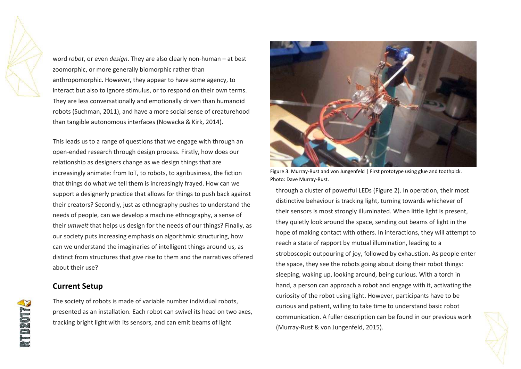word *robot*, or even *design*. They are also clearly non-human – at best zoomorphic, or more generally biomorphic rather than anthropomorphic. However, they appear to have some agency, to interact but also to ignore stimulus, or to respond on their own terms. They are less conversationally and emotionally driven than humanoid robots (Suchman, 2011), and have a more social sense of creaturehood than tangible autonomous interfaces (Nowacka & Kirk, 2014).

This leads us to a range of questions that we engage with through an open-ended research through design process. Firstly, how does our relationship as designers change as we design things that are increasingly animate: from IoT, to robots, to agribusiness, the fiction that things do what we tell them is increasingly frayed. How can we support a designerly practice that allows for things to push back against their creators? Secondly, just as ethnography pushes to understand the needs of people, can we develop a machine ethnography, a sense of their *umwelt* that helps us design for the needs of our things? Finally, as our society puts increasing emphasis on algorithmic structuring, how can we understand the imaginaries of intelligent things around us, as distinct from structures that give rise to them and the narratives offered about their use?

#### **Current Setup**

The society of robots is made of variable number individual robots, presented as an installation. Each robot can swivel its head on two axes, tracking bright light with its sensors, and can emit beams of light



Figure 3. Murray-Rust and von Jungenfeld | First prototype using glue and toothpick. Photo: Dave Murray-Rust.

through a cluster of powerful LEDs (Figure 2). In operation, their most distinctive behaviour is tracking light, turning towards whichever of their sensors is most strongly illuminated. When little light is present, they quietly look around the space, sending out beams of light in the hope of making contact with others. In interactions, they will attempt to reach a state of rapport by mutual illumination, leading to a stroboscopic outpouring of joy, followed by exhaustion. As people enter the space, they see the robots going about doing their robot things: sleeping, waking up, looking around, being curious. With a torch in hand, a person can approach a robot and engage with it, activating the curiosity of the robot using light. However, participants have to be curious and patient, willing to take time to understand basic robot communication. A fuller description can be found in our previous work (Murray-Rust & von Jungenfeld, 2015).

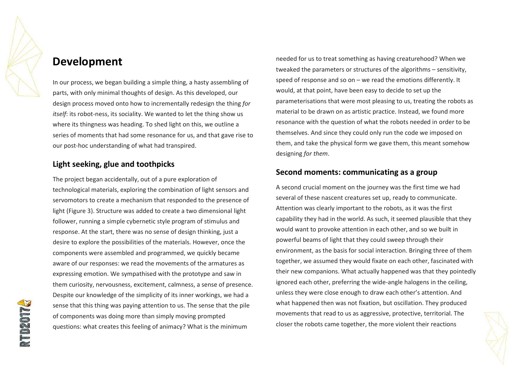

### **Development**

In our process, we began building a simple thing, a hasty assembling of parts, with only minimal thoughts of design. As this developed, our design process moved onto how to incrementally redesign the thing *for itself*: its robot-ness, its sociality. We wanted to let the thing show us where its thingness was heading. To shed light on this, we outline a series of moments that had some resonance for us, and that gave rise to our post-hoc understanding of what had transpired.

#### **Light seeking, glue and toothpicks**

The project began accidentally, out of a pure exploration of technological materials, exploring the combination of light sensors and servomotors to create a mechanism that responded to the presence of light (Figure 3). Structure was added to create a two dimensional light follower, running a simple cybernetic style program of stimulus and response. At the start, there was no sense of design thinking, just a desire to explore the possibilities of the materials. However, once the components were assembled and programmed, we quickly became aware of our responses: we read the movements of the armatures as expressing emotion. We sympathised with the prototype and saw in them curiosity, nervousness, excitement, calmness, a sense of presence. Despite our knowledge of the simplicity of its inner workings, we had a sense that this thing was paying attention to us. The sense that the pile of components was doing more than simply moving prompted questions: what creates this feeling of animacy? What is the minimum

needed for us to treat something as having creaturehood? When we tweaked the parameters or structures of the algorithms – sensitivity, speed of response and so on  $-$  we read the emotions differently. It would, at that point, have been easy to decide to set up the parameterisations that were most pleasing to us, treating the robots as material to be drawn on as artistic practice. Instead, we found more resonance with the question of what the robots needed in order to be themselves. And since they could only run the code we imposed on them, and take the physical form we gave them, this meant somehow designing *for them*.

#### **Second moments: communicating as a group**

A second crucial moment on the journey was the first time we had several of these nascent creatures set up, ready to communicate. Attention was clearly important to the robots, as it was the first capability they had in the world. As such, it seemed plausible that they would want to provoke attention in each other, and so we built in powerful beams of light that they could sweep through their environment, as the basis for social interaction. Bringing three of them together, we assumed they would fixate on each other, fascinated with their new companions. What actually happened was that they pointedly ignored each other, preferring the wide-angle halogens in the ceiling, unless they were close enough to draw each other's attention. And what happened then was not fixation, but oscillation. They produced movements that read to us as aggressive, protective, territorial. The closer the robots came together, the more violent their reactions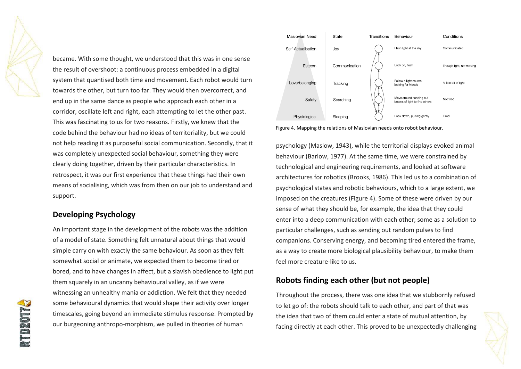became. With some thought, we understood that this was in one sense the result of overshoot: a continuous process embedded in a digital system that quantised both time and movement. Each robot would turn towards the other, but turn too far. They would then overcorrect, and end up in the same dance as people who approach each other in a corridor, oscillate left and right, each attempting to let the other past. This was fascinating to us for two reasons. Firstly, we knew that the code behind the behaviour had no ideas of territoriality, but we could not help reading it as purposeful social communication. Secondly, that it was completely unexpected social behaviour, something they were clearly doing together, driven by their particular characteristics. In retrospect, it was our first experience that these things had their own means of socialising, which was from then on our job to understand and support.

#### **Developing Psychology**

An important stage in the development of the robots was the addition of a model of state. Something felt unnatural about things that would simple carry on with exactly the same behaviour. As soon as they felt somewhat social or animate, we expected them to become tired or bored, and to have changes in affect, but a slavish obedience to light put them squarely in an uncanny behavioural valley, as if we were witnessing an unhealthy mania or addiction. We felt that they needed some behavioural dynamics that would shape their activity over longer timescales, going beyond an immediate stimulus response. Prompted by our burgeoning anthropo-morphism, we pulled in theories of human



Figure 4. Mapping the relations of Maslovian needs onto robot behaviour.

psychology (Maslow, 1943), while the territorial displays evoked animal behaviour (Barlow, 1977). At the same time, we were constrained by technological and engineering requirements, and looked at software architectures for robotics (Brooks, 1986). This led us to a combination of psychological states and robotic behaviours, which to a large extent, we imposed on the creatures (Figure 4). Some of these were driven by our sense of what they should be, for example, the idea that they could enter into a deep communication with each other; some as a solution to particular challenges, such as sending out random pulses to find companions. Conserving energy, and becoming tired entered the frame, as a way to create more biological plausibility behaviour, to make them feel more creature-like to us.

#### **Robots finding each other (but not people)**

Throughout the process, there was one idea that we stubbornly refused to let go of: the robots should talk to each other, and part of that was the idea that two of them could enter a state of mutual attention, by facing directly at each other. This proved to be unexpectedly challenging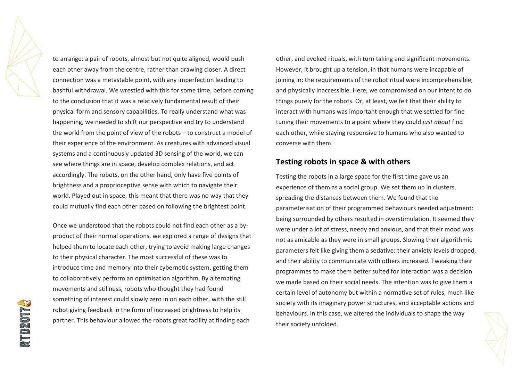to arrange: a pair of robots, almost but not quite aligned, would push each other away from the centre, rather than drawing closer. A direct connection was a metastable point, with any imperfection leading to bashful withdrawal. We wrestled with this for some time, before coming to the conclusion that it was a relatively fundamental result of their physical form and sensory capabilities. To really understand what was happening, we needed to shift our perspective and try to understand the world from the point of view of the robots  $-$  to construct a model of their experience of the environment. As creatures with advanced visual systems and a continuously updated 3D sensing of the world, we can see where things are in space, develop complex relations, and act accordingly. The robots, on the other hand, only have five points of brightness and a proprioceptive sense with which to navigate their world. Played out in space, this meant that there was no way that they could mutually find each other based on following the brightest point.

Once we understood that the robots could not find each other as a byproduct of their normal operations, we explored a range of designs that helped them to locate each other, trying to avoid making large changes to their physical character. The most successful of these was to introduce time and memory into their cybernetic system, getting them to collaboratively perform an optimisation algorithm. By alternating movements and stillness, robots who thought they had found something of interest could slowly zero in on each other, with the still robot giving feedback in the form of increased brightness to help its partner. This behaviour allowed the robots great facility at finding each

other, and evoked rituals, with turn taking and significant movements. However, it brought up a tension, in that humans were incapable of joining in: the requirements of the robot ritual were incomprehensible, and physically inaccessible. Here, we compromised on our intent to do things purely for the robots. Or, at least, we felt that their ability to interact with humans was important enough that we settled for fine tuning their movements to a point where they could *just about* find each other, while staying responsive to humans who also wanted to converse with them.

#### **Testing robots in space & with others**

Testing the robots in a large space for the first time gave us an experience of them as a social group. We set them up in clusters, spreading the distances between them. We found that the parameterisation of their programmed behaviours needed adjustment: being surrounded by others resulted in overstimulation. It seemed they were under a lot of stress, needy and anxious, and that their mood was not as amicable as they were in small groups. Slowing their algorithmic parameters felt like giving them a sedative: their anxiety levels dropped, and their ability to communicate with others increased. Tweaking their programmes to make them better suited for interaction was a decision we made based on their social needs. The intention was to give them a certain level of autonomy but within a normative set of rules, much like society with its imaginary power structures, and acceptable actions and behaviours. In this case, we altered the individuals to shape the way their society unfolded.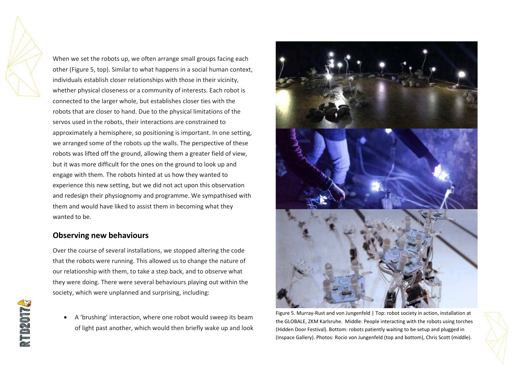When we set the robots up, we often arrange small groups facing each other (Figure 5, top). Similar to what happens in a social human context, individuals establish closer relationships with those in their vicinity, whether physical closeness or a community of interests. Each robot is connected to the larger whole, but establishes closer ties with the robots that are closer to hand. Due to the physical limitations of the servos used in the robots, their interactions are constrained to approximately a hemisphere, so positioning is important. In one setting, we arranged some of the robots up the walls. The perspective of these robots was lifted off the ground, allowing them a greater field of view, but it was more difficult for the ones on the ground to look up and engage with them. The robots hinted at us how they wanted to experience this new setting, but we did not act upon this observation and redesign their physiognomy and programme. We sympathised with them and would have liked to assist them in becoming what they wanted to be.

#### **Observing new behaviours**

Over the course of several installations, we stopped altering the code that the robots were running. This allowed us to change the nature of our relationship with them, to take a step back, and to observe what they were doing. There were several behaviours playing out within the society, which were unplanned and surprising, including:

A 'brushing' interaction, where one robot would sweep its beam of light past another, which would then briefly wake up and look



Figure 5. Murray-Rust and von Jungenfeld | Top: robot society in action, installation at the GLOBALE, ZKM Karlsruhe. Middle: People interacting with the robots using torches (Hidden Door Festival). Bottom: robots patiently waiting to be setup and plugged in (Inspace Gallery). Photos: Rocio von Jungenfeld (top and bottom), Chris Scott (middle).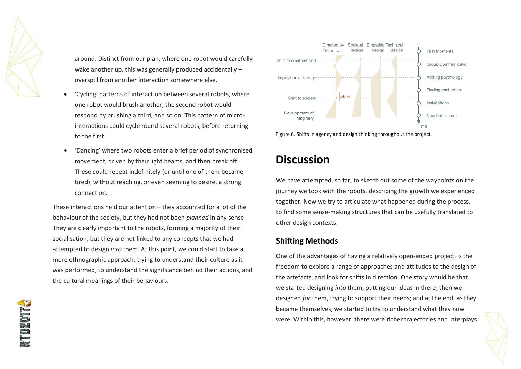

around. Distinct from our plan, where one robot would carefully wake another up, this was generally produced accidentally  $$ overspill from another interaction somewhere else.

- ëCyclingí patterns of interaction between several robots, where one robot would brush another, the second robot would respond by brushing a third, and so on. This pattern of microinteractions could cycle round several robots, before returning to the first.
- 'Dancing' where two robots enter a brief period of synchronised movement, driven by their light beams, and then break off. These could repeat indefinitely (or until one of them became tired), without reaching, or even seeming to desire, a strong connection.

These interactions held our attention  $-$  they accounted for a lot of the behaviour of the society, but they had not been *planned* in any sense. They are clearly important to the robots, forming a majority of their socialisation, but they are not linked to any concepts that we had attempted to design *into* them. At this point, we could start to take a more ethnographic approach, trying to understand their culture as it was performed, to understand the significance behind their actions, and the cultural meanings of their behaviours.



Figure 6. Shifts in agency and design thinking throughout the project.

## **Discussion**

We have attempted, so far, to sketch out some of the waypoints on the journey we took with the robots, describing the growth we experienced together. Now we try to articulate what happened during the process, to find some sense-making structures that can be usefully translated to other design contexts.

#### **Shifting Methods**

One of the advantages of having a relatively open-ended project, is the freedom to explore a range of approaches and attitudes to the design of the artefacts, and look for shifts in direction. One story would be that we started designing *into* them, putting our ideas in there; then we designed *for* them, trying to support their needs; and at the end, as they became themselves, we started to try to understand what they now were. Within this, however, there were richer trajectories and interplays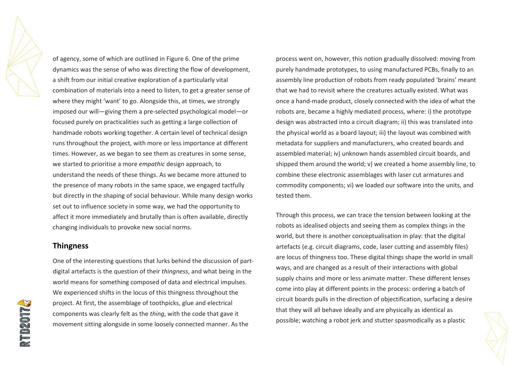of agency, some of which are outlined in Figure 6. One of the prime dynamics was the sense of who was directing the flow of development, a shift from our initial creative exploration of a particularly vital combination of materials into a need to listen, to get a greater sense of where they might 'want' to go. Alongside this, at times, we strongly imposed our will-giving them a pre-selected psychological model-or focused purely on practicalities such as getting a large collection of handmade robots working together. A certain level of technical design runs throughout the project, with more or less importance at different times. However, as we began to see them as creatures in some sense, we started to prioritise a more *empathic* design approach, to understand the needs of these things. As we became more attuned to the presence of many robots in the same space, we engaged tactfully but directly in the shaping of social behaviour. While many design works set out to influence society in some way, we had the opportunity to affect it more immediately and brutally than is often available, directly changing individuals to provoke new social norms.

#### **Thingness**

One of the interesting questions that lurks behind the discussion of partdigital artefacts is the question of their *thingness*, and what being in the world means for something composed of data and electrical impulses. We experienced shifts in the locus of this thingness throughout the project. At first, the assemblage of toothpicks, glue and electrical components was clearly felt as the *thing*, with the code that gave it movement sitting alongside in some loosely connected manner. As the

process went on, however, this notion gradually dissolved: moving from purely handmade prototypes, to using manufactured PCBs, finally to an assembly line production of robots from ready populated 'brains' meant that we had to revisit where the creatures actually existed. What was once a hand-made product, closely connected with the idea of what the robots are, became a highly mediated process, where: i) the prototype design was abstracted into a circuit diagram; ii) this was translated into the physical world as a board layout; iii) the layout was combined with metadata for suppliers and manufacturers, who created boards and assembled material; iv) unknown hands assembled circuit boards, and shipped them around the world; v) we created a home assembly line, to combine these electronic assemblages with laser cut armatures and commodity components; vi) we loaded our software into the units, and tested them.

Through this process, we can trace the tension between looking at the robots as idealised objects and seeing them as complex things in the world, but there is another conceptualisation in play: that the digital artefacts (e.g. circuit diagrams, code, laser cutting and assembly files) are locus of thingness too. These digital things shape the world in small ways, and are changed as a result of their interactions with global supply chains and more or less animate matter. These different lenses come into play at different points in the process: ordering a batch of circuit boards pulls in the direction of objectification, surfacing a desire that they will all behave ideally and are physically as identical as possible; watching a robot jerk and stutter spasmodically as a plastic

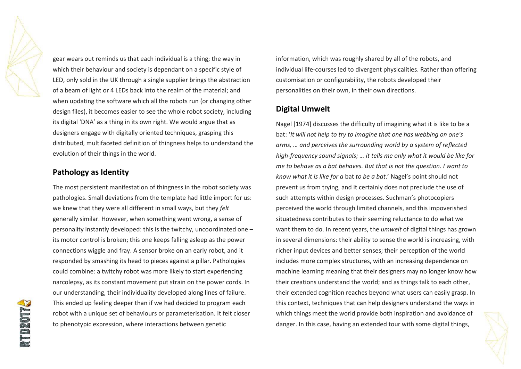gear wears out reminds us that each individual is a thing; the way in which their behaviour and society is dependant on a specific style of LED, only sold in the UK through a single supplier brings the abstraction of a beam of light or 4 LEDs back into the realm of the material; and when updating the software which all the robots run (or changing other design files), it becomes easier to see the whole robot society, including its digital 'DNA' as a thing in its own right. We would argue that as designers engage with digitally oriented techniques, grasping this distributed, multifaceted definition of thingness helps to understand the evolution of their things in the world.

#### **Pathology as Identity**

The most persistent manifestation of thingness in the robot society was pathologies. Small deviations from the template had little import for us: we knew that they were all different in small ways, but they *felt* generally similar. However, when something went wrong, a sense of personality instantly developed: this is the twitchy, uncoordinated one  $$ its motor control is broken; this one keeps falling asleep as the power connections wiggle and fray. A sensor broke on an early robot, and it responded by smashing its head to pieces against a pillar. Pathologies could combine: a twitchy robot was more likely to start experiencing narcolepsy, as its constant movement put strain on the power cords. In our understanding, their individuality developed along lines of failure. This ended up feeling deeper than if we had decided to program each robot with a unique set of behaviours or parameterisation. It felt closer to phenotypic expression, where interactions between genetic

information, which was roughly shared by all of the robots, and individual life-courses led to divergent physicalities. Rather than offering customisation or configurability, the robots developed their personalities on their own, in their own directions.

#### **Digital Umwelt**

Nagel [1974] discusses the difficulty of imagining what it is like to be a bat: 'It will not help to try to imagine that one has webbing on one's arms, ... and perceives the surrounding world by a system of reflected high-frequency sound signals; ... it tells me only what it would be like for *me to behave as a bat behaves. But that is not the question. I want to know what it is like for a* bat *to be a bat*.í Nagelís point should not prevent us from trying, and it certainly does not preclude the use of such attempts within design processes. Suchman's photocopiers perceived the world through limited channels, and this impoverished situatedness contributes to their seeming reluctance to do what we want them to do. In recent years, the *umwelt* of digital things has grown in several dimensions: their ability to sense the world is increasing, with richer input devices and better senses; their perception of the world includes more complex structures, with an increasing dependence on machine learning meaning that their designers may no longer know how their creations understand the world; and as things talk to each other, their extended cognition reaches beyond what users can easily grasp. In this context, techniques that can help designers understand the ways in which things meet the world provide both inspiration and avoidance of danger. In this case, having an extended tour with some digital things,

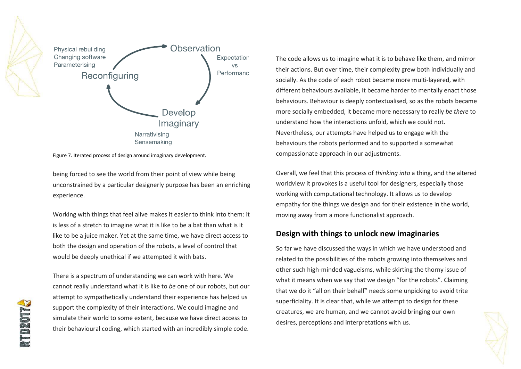

Figure 7. Iterated process of design around imaginary development.

being forced to see the world from their point of view while being unconstrained by a particular designerly purpose has been an enriching experience.

Working with things that feel alive makes it easier to think into them: it is less of a stretch to imagine what it is like to be a bat than what is it like to be a juice maker. Yet at the same time, we have direct access to both the design and operation of the robots, a level of control that would be deeply unethical if we attempted it with bats.

There is a spectrum of understanding we can work with here. We cannot really understand what it is like to *be* one of our robots, but our attempt to sympathetically understand their experience has helped us support the complexity of their interactions. We could imagine and simulate their world to some extent, because we have direct access to their behavioural coding, which started with an incredibly simple code.

The code allows us to imagine what it is to behave like them, and mirror their actions. But over time, their complexity grew both individually and socially. As the code of each robot became more multi-layered, with different behaviours available, it became harder to mentally enact those behaviours. Behaviour is deeply contextualised, so as the robots became more socially embedded, it became more necessary to really *be there* to understand how the interactions unfold, which we could not. Nevertheless, our attempts have helped us to engage with the behaviours the robots performed and to supported a somewhat compassionate approach in our adjustments.

Overall, we feel that this process of *thinking into* a thing, and the altered worldview it provokes is a useful tool for designers, especially those working with computational technology. It allows us to develop empathy for the things we design and for their existence in the world, moving away from a more functionalist approach.

#### **Design with things to unlock new imaginaries**

So far we have discussed the ways in which we have understood and related to the possibilities of the robots growing into themselves and other such high-minded vagueisms, while skirting the thorny issue of what it means when we say that we design "for the robots". Claiming that we do it "all on their behalf" needs some unpicking to avoid trite superficiality. It is clear that, while we attempt to design for these creatures, we are human, and we cannot avoid bringing our own desires, perceptions and interpretations with us.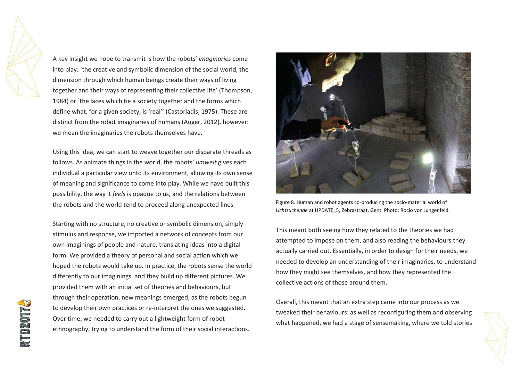A key insight we hope to transmit is how the robotsí *imaginaries* come into play: `the creative and symbolic dimension of the social world, the dimension through which human beings create their ways of living together and their ways of representing their collective life' (Thompson, 1984) or `the laces which tie a society together and the forms which define what, for a given society, is 'real'' (Castoriadis, 1975). These are distinct from the robot imaginaries of humans (Auger, 2012), however: we mean the imaginaries the robots themselves have.

Using this idea, we can start to weave together our disparate threads as follows. As animate things in the world, the robots' *umwelt* gives each individual a particular view onto its environment, allowing its own sense of meaning and significance to come into play. While we have built this possibility, the way it *feels* is opaque to us, and the relations between the robots and the world tend to proceed along unexpected lines.

Starting with no structure, no creative or symbolic dimension, simply stimulus and response, we imported a network of concepts from our own imaginings of people and nature, translating ideas into a digital form. We provided a theory of personal and social action which we hoped the robots would take up. In practice, the robots sense the world differently to our imaginings, and they build up different pictures. We provided them with an initial set of theories and behaviours, but through their operation, new meanings emerged, as the robots begun to develop their own practices or re-interpret the ones we suggested. Over time, we needed to carry out a lightweight form of robot ethnography, trying to understand the form of their social interactions.



Figure 8. Human and robot agents co-producing the socio-material world of *Lichtsuchende* at UPDATE\_5, Zebrastraat, Gent. Photo: Rocio von Jungenfeld.

This meant both seeing how they related to the theories we had attempted to impose on them, and also reading the behaviours they actually carried out. Essentially, in order to design for their needs, we needed to develop an understanding of their imaginaries, to understand how they might see themselves, and how they represented the collective actions of those around them.

Overall, this meant that an extra step came into our process as we tweaked their behaviours: as well as reconfiguring them and observing what happened, we had a stage of sensemaking, where we told stories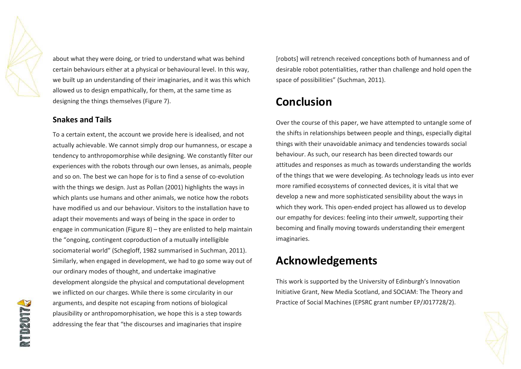about what they were doing, or tried to understand what was behind certain behaviours either at a physical or behavioural level. In this way, we built up an understanding of their imaginaries, and it was this which allowed us to design empathically, for them, at the same time as designing the things themselves (Figure 7).

#### **Snakes and Tails**

To a certain extent, the account we provide here is idealised, and not actually achievable. We cannot simply drop our humanness, or escape a tendency to anthropomorphise while designing. We constantly filter our experiences with the robots through our own lenses, as animals, people and so on. The best we can hope for is to find a sense of co-evolution with the things we design. Just as Pollan (2001) highlights the ways in which plants use humans and other animals, we notice how the robots have modified us and our behaviour. Visitors to the installation have to adapt their movements and ways of being in the space in order to engage in communication (Figure 8) – they are enlisted to help maintain the "ongoing, contingent coproduction of a mutually intelligible sociomaterial world" (Schegloff, 1982 summarised in Suchman, 2011). Similarly, when engaged in development, we had to go some way out of our ordinary modes of thought, and undertake imaginative development alongside the physical and computational development we inflicted on our charges. While there is some circularity in our arguments, and despite not escaping from notions of biological plausibility or anthropomorphisation, we hope this is a step towards addressing the fear that "the discourses and imaginaries that inspire

[robots] will retrench received conceptions both of humanness and of desirable robot potentialities, rather than challenge and hold open the space of possibilities" (Suchman, 2011).

## **Conclusion**

Over the course of this paper, we have attempted to untangle some of the shifts in relationships between people and things, especially digital things with their unavoidable animacy and tendencies towards social behaviour. As such, our research has been directed towards our attitudes and responses as much as towards understanding the worlds of the things that we were developing. As technology leads us into ever more ramified ecosystems of connected devices, it is vital that we develop a new and more sophisticated sensibility about the ways in which they work. This open-ended project has allowed us to develop our empathy for devices: feeling into their *umwelt*, supporting their becoming and finally moving towards understanding their emergent imaginaries.

## **Acknowledgements**

This work is supported by the University of Edinburgh's Innovation Initiative Grant, New Media Scotland, and SOCIAM: The Theory and Practice of Social Machines (EPSRC grant number EP/J017728/2).